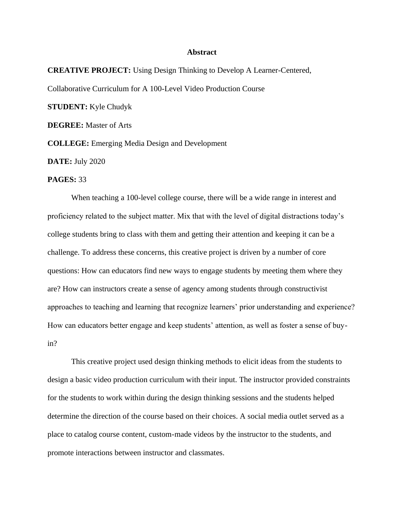## **Abstract**

**CREATIVE PROJECT:** Using Design Thinking to Develop A Learner-Centered, Collaborative Curriculum for A 100-Level Video Production Course **STUDENT:** Kyle Chudyk **DEGREE:** Master of Arts **COLLEGE:** Emerging Media Design and Development

**DATE:** July 2020

## **PAGES:** 33

When teaching a 100-level college course, there will be a wide range in interest and proficiency related to the subject matter. Mix that with the level of digital distractions today's college students bring to class with them and getting their attention and keeping it can be a challenge. To address these concerns, this creative project is driven by a number of core questions: How can educators find new ways to engage students by meeting them where they are? How can instructors create a sense of agency among students through constructivist approaches to teaching and learning that recognize learners' prior understanding and experience? How can educators better engage and keep students' attention, as well as foster a sense of buyin?

This creative project used design thinking methods to elicit ideas from the students to design a basic video production curriculum with their input. The instructor provided constraints for the students to work within during the design thinking sessions and the students helped determine the direction of the course based on their choices. A social media outlet served as a place to catalog course content, custom-made videos by the instructor to the students, and promote interactions between instructor and classmates.